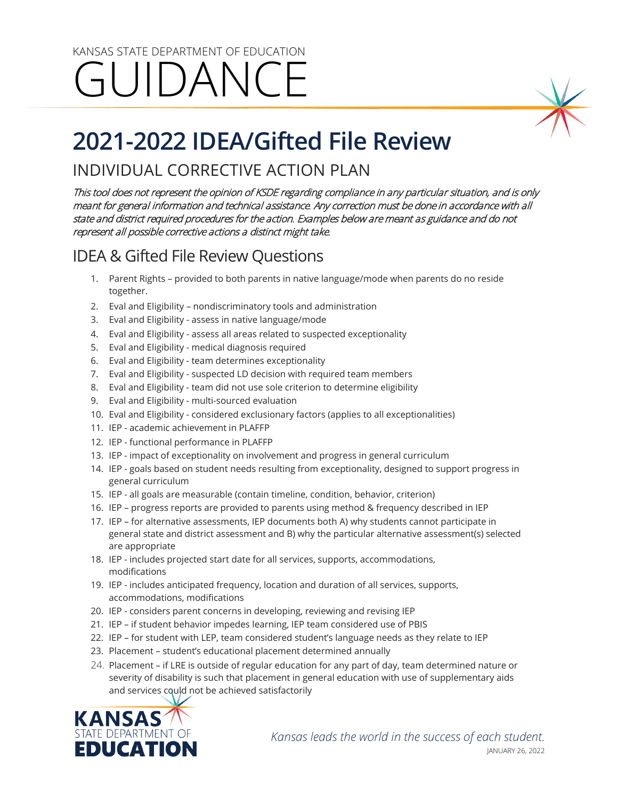## KANSAS STATE DEPARTMENT OF EDUCATION GUIDANCE

# **2021-2022 IDEA/Gifted File Review**

## INDIVIDUAL CORRECTIVE ACTION PLAN

This tool does not represent the opinion of KSDE regarding compliance in any particular situation, and is only meant for general information and technical assistance. Any correction must be done in accordance with all state and district required procedures for the action. Examples below are meant as guidance and do not represent all possible corrective actions a distinct might take.

## IDEA & Gifted File Review Questions

- 1. Parent Rights provided to both parents in native language/mode when parents do no reside together.
- 2. Eval and Eligibility nondiscriminatory tools and administration
- 3. Eval and Eligibility assess in native language/mode
- 4. Eval and Eligibility assess all areas related to suspected exceptionality
- 5. Eval and Eligibility medical diagnosis required
- 6. Eval and Eligibility team determines exceptionality
- 7. Eval and Eligibility suspected LD decision with required team members
- 8. Eval and Eligibility team did not use sole criterion to determine eligibility
- 9. Eval and Eligibility multi-sourced evaluation
- 10. Eval and Eligibility considered exclusionary factors (applies to all exceptionalities)
- 11. IEP academic achievement in PLAFFP
- 12. IEP functional performance in PLAFFP
- 13. IEP impact of exceptionality on involvement and progress in general curriculum
- 14. IEP goals based on student needs resulting from exceptionality, designed to support progress in general curriculum
- 15. IEP all goals are measurable (contain timeline, condition, behavior, criterion)
- 16. IEP progress reports are provided to parents using method & frequency described in IEP
- 17. IEP for alternative assessments, IEP documents both A) why students cannot participate in general state and district assessment and B) why the particular alternative assessment(s) selected are appropriate
- 18. IEP includes projected start date for all services, supports, accommodations, modifications
- 19. IEP includes anticipated frequency, location and duration of all services, supports, accommodations, modifications
- 20. IEP considers parent concerns in developing, reviewing and revising IEP
- 21. IEP if student behavior impedes learning, IEP team considered use of PBIS
- 22. IEP for student with LEP, team considered student's language needs as they relate to IEP
- 23. Placement student's educational placement determined annually
- 24. Placement if LRE is outside of regular education for any part of day, team determined nature or severity of disability is such that placement in general education with use of supplementary aids and services could not be achieved satisfactorily

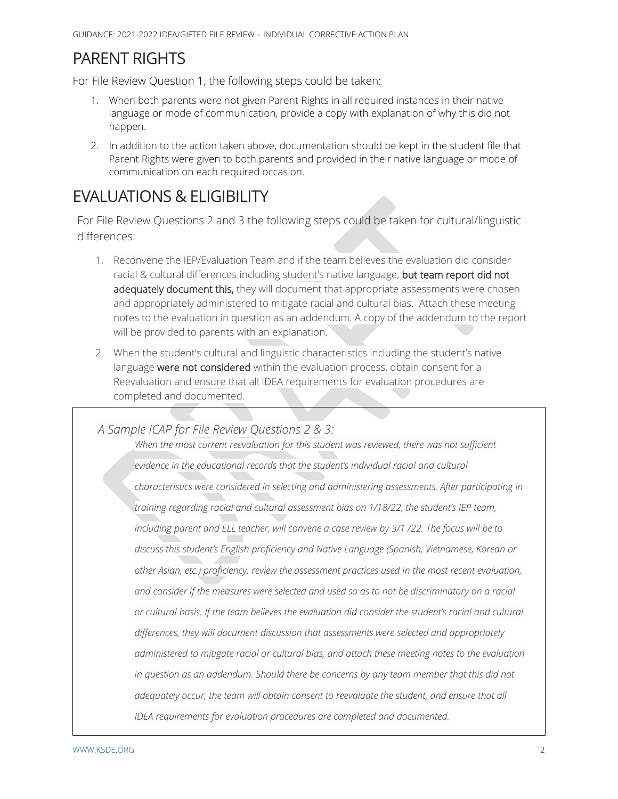### PARENT RIGHTS

For File Review Question 1, the following steps could be taken:

- 1. When both parents were not given Parent Rights in all required instances in their native language or mode of communication, provide a copy with explanation of why this did not happen.
- 2. In addition to the action taken above, documentation should be kept in the student file that Parent Rights were given to both parents and provided in their native language or mode of communication on each required occasion.

## EVALUATIONS & ELIGIBILITY

For File Review Questions 2 and 3 the following steps could be taken for cultural/linguistic differences:

- 1. Reconvene the IEP/Evaluation Team and if the team believes the evaluation did consider racial & cultural differences including student's native language, but team report did not adequately document this, they will document that appropriate assessments were chosen and appropriately administered to mitigate racial and cultural bias. Attach these meeting notes to the evaluation in question as an addendum. A copy of the addendum to the report will be provided to parents with an explanation.
- 2. When the student's cultural and linguistic characteristics including the student's native language were not considered within the evaluation process, obtain consent for a Reevaluation and ensure that all IDEA requirements for evaluation procedures are completed and documented.

*A Sample ICAP for File Review Questions 2 & 3:*

When the most current reevaluation for this student was reviewed, there was not sufficient *evidence in the educational records that the student's individual racial and cultural characteristics were considered in selecting and administering assessments. After participating in training regarding racial and cultural assessment bias on 1/18/22, the student's IEP team, including parent and ELL teacher, will convene a case review by 3/1 /22. The focus will be to discuss this student's English proficiency and Native Language (Spanish, Vietnamese, Korean or other Asian, etc.) proficiency, review the assessment practices used in the most recent evaluation, and consider if the measures were selected and used so as to not be discriminatory on a racial or cultural basis. If the team believes the evaluation did consider the student's racial and cultural differences, they will document discussion that assessments were selected and appropriately administered to mitigate racial or cultural bias, and attach these meeting notes to the evaluation in question as an addendum. Should there be concerns by any team member that this did not adequately occur, the team will obtain consent to reevaluate the student, and ensure that all IDEA requirements for evaluation procedures are completed and documented.*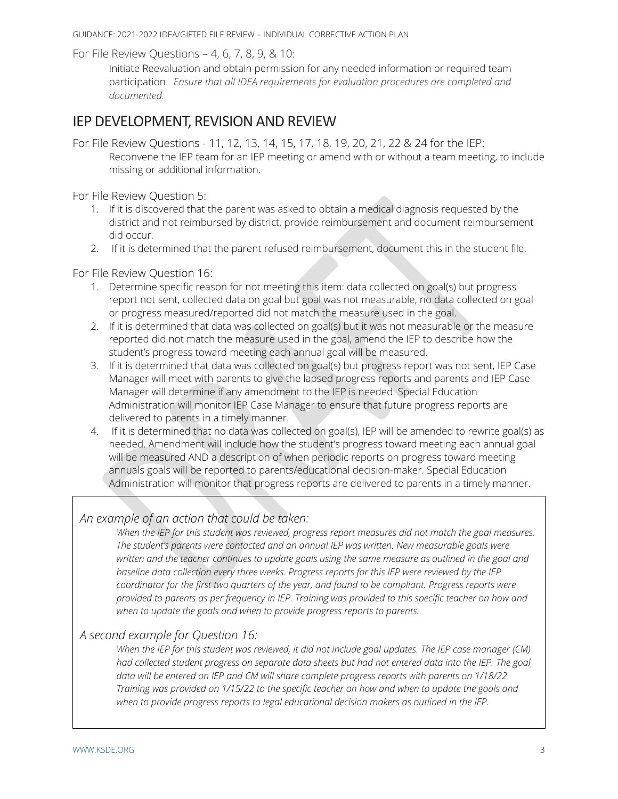GUIDANCE: 2021-2022 IDEA/GIFTED FILE REVIEW – INDIVIDUAL CORRECTIVE ACTION PLAN

For File Review Questions – 4, 6, 7, 8, 9, & 10:

Initiate Reevaluation and obtain permission for any needed information or required team participation. *Ensure that all IDEA requirements for evaluation procedures are completed and documented.*

#### IEP DEVELOPMENT, REVISION AND REVIEW

For File Review Questions - 11, 12, 13, 14, 15, 17, 18, 19, 20, 21, 22 & 24 for the IEP: Reconvene the IEP team for an IEP meeting or amend with or without a team meeting, to include missing or additional information.

For File Review Question 5:

- 1. If it is discovered that the parent was asked to obtain a medical diagnosis requested by the district and not reimbursed by district, provide reimbursement and document reimbursement did occur.
- 2. If it is determined that the parent refused reimbursement, document this in the student file.

For File Review Question 16:

- 1. Determine specific reason for not meeting this item: data collected on goal(s) but progress report not sent, collected data on goal but goal was not measurable, no data collected on goal or progress measured/reported did not match the measure used in the goal.
- 2. If it is determined that data was collected on goal(s) but it was not measurable or the measure reported did not match the measure used in the goal, amend the IEP to describe how the student's progress toward meeting each annual goal will be measured.
- 3. If it is determined that data was collected on goal(s) but progress report was not sent, IEP Case Manager will meet with parents to give the lapsed progress reports and parents and IEP Case Manager will determine if any amendment to the IEP is needed. Special Education Administration will monitor IEP Case Manager to ensure that future progress reports are delivered to parents in a timely manner.
- 4. If it is determined that no data was collected on goal(s), IEP will be amended to rewrite goal(s) as needed. Amendment will include how the student's progress toward meeting each annual goal will be measured AND a description of when periodic reports on progress toward meeting annuals goals will be reported to parents/educational decision-maker. Special Education Administration will monitor that progress reports are delivered to parents in a timely manner.

#### *An example of an action that could be taken:*

*When the IEP for this student was reviewed, progress report measures did not match the goal measures. The student's parents were contacted and an annual IEP was written. New measurable goals were written and the teacher continues to update goals using the same measure as outlined in the goal and baseline data collection every three weeks. Progress reports for this IEP were reviewed by the IEP coordinator for the first two quarters of the year, and found to be compliant. Progress reports were provided to parents as per frequency in IEP. Training was provided to this specific teacher on how and when to update the goals and when to provide progress reports to parents.*

#### *A second example for Question 16:*

*When the IEP for this student was reviewed, it did not include goal updates. The IEP case manager (CM) had collected student progress on separate data sheets but had not entered data into the IEP. The goal*  data will be entered on IEP and CM will share complete progress reports with parents on 1/18/22. *Training was provided on 1/15/22 to the specific teacher on how and when to update the goals and when to provide progress reports to legal educational decision makers as outlined in the IEP.*